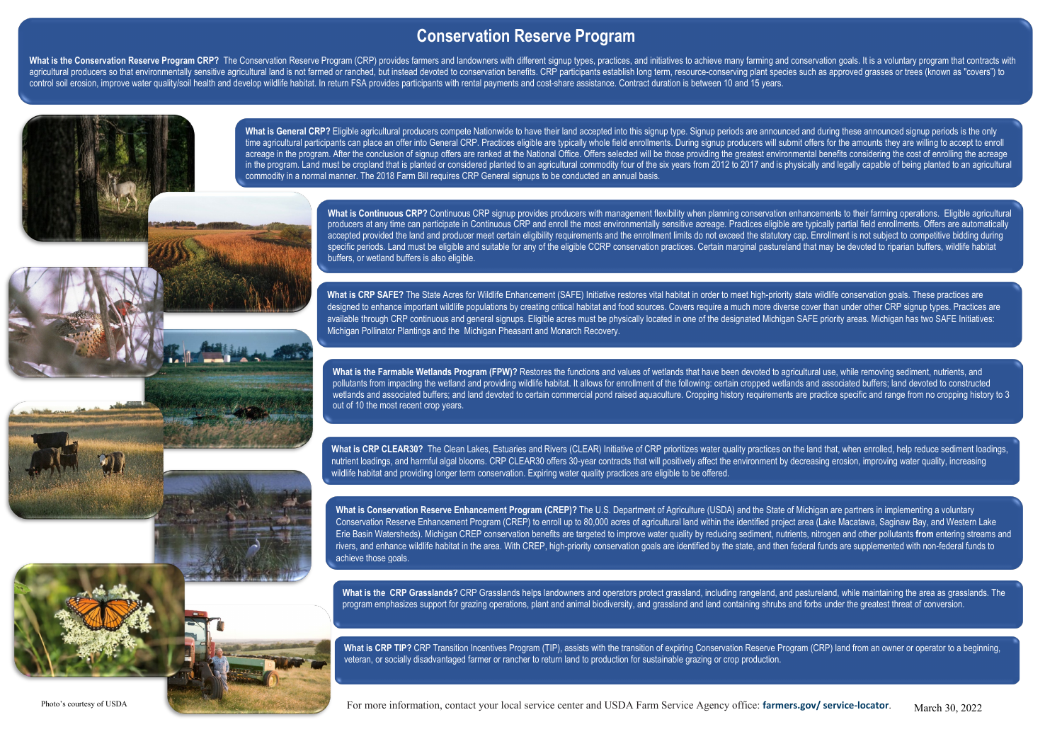**What is the CRP Grasslands?** CRP Grasslands helps landowners and operators protect grassland, including rangeland, and pastureland, while maintaining the area as grasslands. The program emphasizes support for grazing operations, plant and animal biodiversity, and grassland and land containing shrubs and forbs under the greatest threat of conversion.

What is CRP TIP? CRP Transition Incentives Program (TIP), assists with the transition of expiring Conservation Reserve Program (CRP) land from an owner or operator to a beginning, veteran, or socially disadvantaged farmer or rancher to return land to production for sustainable grazing or crop production.

Photo's courtesy of USDA **Exercice Agency of USDA Farm Service Agency office: farmers.gov/ service-locator.** March 30, 2022

## **Conservation Reserve Program**

What is the Conservation Reserve Program CRP? The Conservation Reserve Program (CRP) provides farmers and landowners with different signup types, practices, and initiatives to achieve many farming and conservation goals. I agricultural producers so that environmentally sensitive agricultural land is not farmed or ranched, but instead devoted to conservation benefits. CRP participants establish long term, resource-conserving plant species suc control soil erosion, improve water quality/soil health and develop wildlife habitat. In return FSA provides participants with rental payments and cost-share assistance. Contract duration is between 10 and 15 years.

> What is General CRP? Eligible agricultural producers compete Nationwide to have their land accepted into this signup type. Signup periods are announced and during these announced signup periods is the only time agricultural participants can place an offer into General CRP. Practices eligible are typically whole field enrollments. During signup producers will submit offers for the amounts they are willing to accept to enroll acreage in the program. After the conclusion of signup offers are ranked at the National Office. Offers selected will be those providing the greatest environmental benefits considering the cost of enrolling the acreage in the program. Land must be cropland that is planted or considered planted to an agricultural commodity four of the six years from 2012 to 2017 and is physically and legally capable of being planted to an agricultural commodity in a normal manner. The 2018 Farm Bill requires CRP General signups to be conducted an annual basis.

> > What is Continuous CRP? Continuous CRP signup provides producers with management flexibility when planning conservation enhancements to their farming operations. Eligible agricultural producers at any time can participate in Continuous CRP and enroll the most environmentally sensitive acreage. Practices eligible are typically partial field enrollments. Offers are automatically accepted provided the land and producer meet certain eligibility requirements and the enrollment limits do not exceed the statutory cap. Enrollment is not subject to competitive bidding during specific periods. Land must be eligible and suitable for any of the eligible CCRP conservation practices. Certain marginal pastureland that may be devoted to riparian buffers, wildlife habitat buffers, or wetland buffers is also eligible.

> > What is the Farmable Wetlands Program (FPW)? Restores the functions and values of wetlands that have been devoted to agricultural use, while removing sediment, nutrients, and pollutants from impacting the wetland and providing wildlife habitat. It allows for enrollment of the following: certain cropped wetlands and associated buffers; land devoted to constructed wetlands and associated buffers; and land devoted to certain commercial pond raised aquaculture. Cropping history requirements are practice specific and range from no cropping history to 3 out of 10 the most recent crop years.

> > What is CRP CLEAR30? The Clean Lakes, Estuaries and Rivers (CLEAR) Initiative of CRP prioritizes water quality practices on the land that, when enrolled, help reduce sediment loadings, nutrient loadings, and harmful algal blooms. CRP CLEAR30 offers 30-year contracts that will positively affect the environment by decreasing erosion, improving water quality, increasing wildlife habitat and providing longer term conservation. Expiring water quality practices are eligible to be offered.

> > **What is CRP SAFE?** The State Acres for Wildlife Enhancement (SAFE) Initiative restores vital habitat in order to meet high-priority state wildlife conservation goals. These practices are designed to enhance important wildlife populations by creating critical habitat and food sources. Covers require a much more diverse cover than under other CRP signup types. Practices are available through CRP continuous and general signups. Eligible acres must be physically located in one of the designated Michigan SAFE priority areas. Michigan has two SAFE Initiatives: Michigan Pollinator Plantings and the Michigan Pheasant and Monarch Recovery.

**What is Conservation Reserve Enhancement Program (CREP)?** The U.S. Department of Agriculture (USDA) and the State of Michigan are partners in implementing a voluntary Conservation Reserve Enhancement Program (CREP) to enroll up to 80,000 acres of agricultural land within the identified project area (Lake Macatawa, Saginaw Bay, and Western Lake Erie Basin Watersheds). Michigan CREP conservation benefits are targeted to improve water quality by reducing sediment, nutrients, nitrogen and other pollutants **from** entering streams and rivers, and enhance wildlife habitat in the area. With CREP, high-priority conservation goals are identified by the state, and then federal funds are supplemented with non-federal funds to achieve those goals.